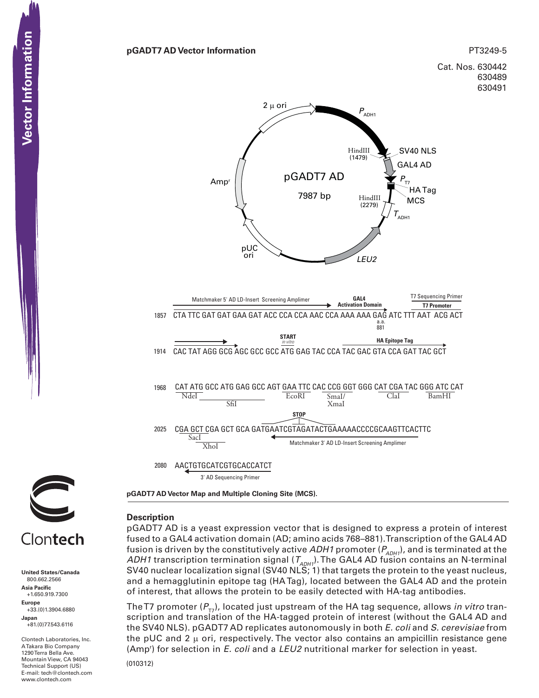



Clontech

**United States/Canada** 800.662.2566 **Asia Pacific** +1.650.919.7300 **Europe** +33.(0)1.3904.6880 **Japan** +81.(0)77.543.6116

Clontech Laboratories, Inc. A Takara Bio Company 1290 Terra Bella Ave. Mountain View, CA 94043 Technical Support (US) E-mail: tech@clontech.com<br>www.clontech.com

# **Description**

pGADT7 AD is a yeast expression vector that is designed to express a protein of interest fused to a GAL4 activation domain (AD; amino acids 768–881). Transcription of the GAL4 AD fusion is driven by the constitutively active *ADH1* promoter ( $P_{ADH1}$ ), and is terminated at the *ADH1* transcription termination signal  $(T_{ADH1})$ . The GAL4 AD fusion contains an N-terminal SV40 nuclear localization signal (SV40 NLS; 1) that targets the protein to the yeast nucleus, and a hemagglutinin epitope tag (HA Tag), located between the GAL4 AD and the protein of interest, that allows the protein to be easily detected with HA-tag antibodies.

The T7 promoter  $(P_{T_7})$ , located just upstream of the HA tag sequence, allows *in vitro* transcription and translation of the HA-tagged protein of interest (without the GAL4 AD and the SV40 NLS). pGADT7 AD replicates autonomously in both *E. coli* and *S. cerevisiae* from the pUC and 2  $\mu$  ori, respectively. The vector also contains an ampicillin resistance gene (Ampr ) for selection in *E. coli* and a *LEU2* nutritional marker for selection in yeast.